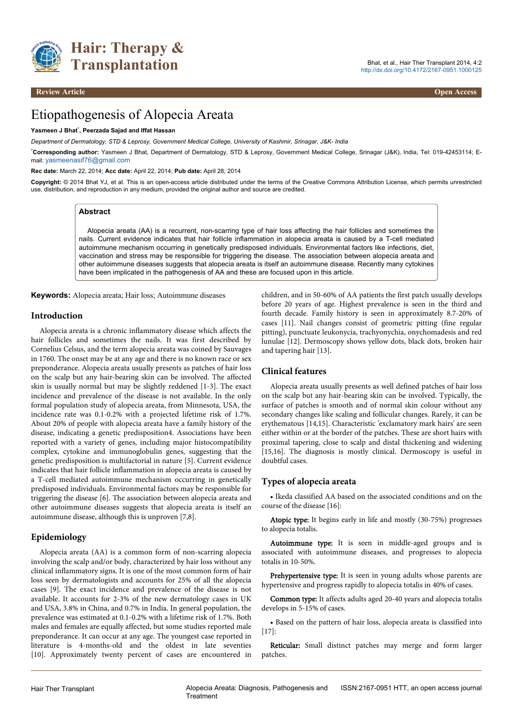

#### **Review Article Open Access**

# Etiopathogenesis of Alopecia Areata

#### **Yasmeen J Bhat**\* **, Peerzada Sajad and Iffat Hassan**

*Department of Dermatology, STD & Leprosy, Government Medical College, University of Kashmir, Srinagar, J&K- India*

\***Corresponding author:** Yasmeen J Bhat, Department of Dermatology, STD & Leprosy, Government Medical College, Srinagar (J&K), India, Tel: 019-42453114; Email: [yasmeenasif76@gmail.com](mailto:yasmeenasif76@gmail.com)

#### **Rec date:** March 22, 2014; **Acc date:** April 22, 2014; **Pub date:** April 28, 2014

**Copyright:** © 2014 Bhat YJ, et al. This is an open-access article distributed under the terms of the Creative Commons Attribution License, which permits unrestricted use, distribution, and reproduction in any medium, provided the original author and source are credited.

#### **Abstract**

Alopecia areata (AA) is a recurrent, non-scarring type of hair loss affecting the hair follicles and sometimes the nails. Current evidence indicates that hair follicle inflammation in alopecia areata is caused by a T-cell mediated autoimmune mechanism occurring in genetically predisposed individuals. Environmental factors like infections, diet, vaccination and stress may be responsible for triggering the disease. The association between alopecia areata and other autoimmune diseases suggests that alopecia areata is itself an autoimmune disease. Recently many cytokines have been implicated in the pathogenesis of AA and these are focused upon in this article.

**Keywords:** Alopecia areata; Hair loss; Autoimmune diseases

## **Introduction**

Alopecia areata is a chronic inflammatory disease which affects the hair follicles and sometimes the nails. It was first described by Cornelius Celsus, and the term alopecia areata was coined by Sauvages in 1760. The onset may be at any age and there is no known race or sex preponderance. Alopecia areata usually presents as patches of hair loss on the scalp but any hair-bearing skin can be involved. The affected skin is usually normal but may be slightly reddened [1-3]. The exact incidence and prevalence of the disease is not available. In the only formal population study of alopecia areata, from Minnesota, USA, the incidence rate was 0.1-0.2% with a projected lifetime risk of 1.7%. About 20% of people with alopecia areata have a family history of the disease, indicating a genetic predisposition4. Associations have been reported with a variety of genes, including major histocompatibility complex, cytokine and immunoglobulin genes, suggesting that the genetic predisposition is multifactorial in nature [5]. Current evidence indicates that hair follicle inflammation in alopecia areata is caused by a T-cell mediated autoimmune mechanism occurring in genetically predisposed individuals. Environmental factors may be responsible for triggering the disease [6]. The association between alopecia areata and other autoimmune diseases suggests that alopecia areata is itself an autoimmune disease, although this is unproven [7,8].

# **Epidemiology**

Alopecia areata (AA) is a common form of non-scarring alopecia involving the scalp and/or body, characterized by hair loss without any clinical inflammatory signs. It is one of the most common form of hair loss seen by dermatologists and accounts for 25% of all the alopecia cases [9]. The exact incidence and prevalence of the disease is not available. It accounts for 2-3% of the new dermatology cases in UK and USA, 3.8% in China, and 0.7% in India. In general population, the prevalence was estimated at 0.1-0.2% with a lifetime risk of 1.7%. Both males and females are equally affected, but some studies reported male preponderance. It can occur at any age. The youngest case reported in literature is 4-months-old and the oldest in late seventies [10]. Approximately twenty percent of cases are encountered in

children, and in 50-60% of AA patients the first patch usually develops before 20 years of age. Highest prevalence is seen in the third and fourth decade. Family history is seen in approximately 8.7-20% of cases [11]. Nail changes consist of geometric pitting (fine regular pitting), punctuate leukonycia, trachyonychia, onychomadesis and red lunulae [12]. Dermoscopy shows yellow dots, black dots, broken hair and tapering hair [13].

#### **Clinical features**

Alopecia areata usually presents as well defined patches of hair loss on the scalp but any hair-bearing skin can be involved. Typically, the surface of patches is smooth and of normal skin colour without any secondary changes like scaling and follicular changes. Rarely, it can be erythematous [14,15]. Characteristic 'exclamatory mark hairs' are seen either within or at the border of the patches. These are short hairs with proximal tapering, close to scalp and distal thickening and widening [15,16]. The diagnosis is mostly clinical. Dermoscopy is useful in doubtful cases.

#### **Types of alopecia areata**

• Ikeda classified AA based on the associated conditions and on the course of the disease [16]:

Atopic type: It begins early in life and mostly (30-75%) progresses to alopecia totalis.

Autoimmune type: It is seen in middle-aged groups and is associated with autoimmune diseases, and progresses to alopecia totalis in 10-50%.

Prehypertensive type: It is seen in young adults whose parents are hypertensive and progress rapidly to alopecia totalis in 40% of cases.

Common type: It affects adults aged 20-40 years and alopecia totalis develops in 5-15% of cases.

• Based on the pattern of hair loss, alopecia areata is classified into [17]:

Reticular: Small distinct patches may merge and form larger patches.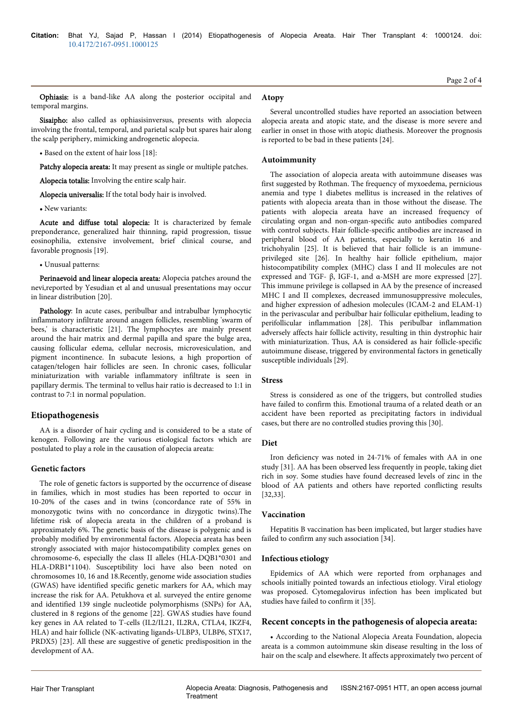Ophiasis: is a band-like AA along the posterior occipital and temporal margins.

# Sisaipho: also called as ophiasisinversus, presents with alopecia involving the frontal, temporal, and parietal scalp but spares hair along the scalp periphery, mimicking androgenetic alopecia.

• Based on the extent of hair loss [18]:

Patchy alopecia areata: It may present as single or multiple patches.

Alopecia totalis: Involving the entire scalp hair.

Alopecia universalis: If the total body hair is involved.

• New variants:

Acute and diffuse total alopecia: It is characterized by female preponderance, generalized hair thinning, rapid progression, tissue eosinophilia, extensive involvement, brief clinical course, and favorable prognosis [19].

• Unusual patterns:

Perinaevoid and linear alopecia areata: Alopecia patches around the nevi,reported by Yesudian et al and unusual presentations may occur in linear distribution [20].

Pathology: In acute cases, peribulbar and intrabulbar lymphocytic inflammatory infiltrate around anagen follicles, resembling 'swarm of bees,' is characteristic [21]. The lymphocytes are mainly present around the hair matrix and dermal papilla and spare the bulge area, causing follicular edema, cellular necrosis, microvesiculation, and pigment incontinence. In subacute lesions, a high proportion of catagen/telogen hair follicles are seen. In chronic cases, follicular miniaturization with variable inflammatory infiltrate is seen in papillary dermis. The terminal to vellus hair ratio is decreased to 1:1 in contrast to 7:1 in normal population.

# **Etiopathogenesis**

AA is a disorder of hair cycling and is considered to be a state of kenogen. Following are the various etiological factors which are postulated to play a role in the causation of alopecia areata:

## **Genetic factors**

The role of genetic factors is supported by the occurrence of disease in families, which in most studies has been reported to occur in 10-20% of the cases and in twins (concordance rate of 55% in monozygotic twins with no concordance in dizygotic twins).The lifetime risk of alopecia areata in the children of a proband is approximately 6%. The genetic basis of the disease is polygenic and is probably modified by environmental factors. Alopecia areata has been strongly associated with major histocompatibility complex genes on chromosome-6, especially the class II alleles (HLA-DQB1\*0301 and HLA-DRB1\*1104). Susceptibility loci have also been noted on chromosomes 10, 16 and 18.Recently, genome wide association studies (GWAS) have identified specific genetic markers for AA, which may increase the risk for AA. Petukhova et al. surveyed the entire genome and identified 139 single nucleotide polymorphisms (SNPs) for AA, clustered in 8 regions of the genome [22]. GWAS studies have found key genes in AA related to T-cells (IL2/IL21, IL2RA, CTLA4, IKZF4, HLA) and hair follicle (NK-activating ligands-ULBP3, ULBP6, STX17, PRDX5) [23]. All these are suggestive of genetic predisposition in the development of AA.

## **Atopy**

Several uncontrolled studies have reported an association between alopecia areata and atopic state, and the disease is more severe and earlier in onset in those with atopic diathesis. Moreover the prognosis is reported to be bad in these patients [24].

# **Autoimmunity**

The association of alopecia areata with autoimmune diseases was first suggested by Rothman. The frequency of myxoedema, pernicious anemia and type 1 diabetes mellitus is increased in the relatives of patients with alopecia areata than in those without the disease. The patients with alopecia areata have an increased frequency of circulating organ and non-organ-specific auto antibodies compared with control subjects. Hair follicle-specific antibodies are increased in peripheral blood of AA patients, especially to keratin 16 and trichohyalin [25]. It is believed that hair follicle is an immuneprivileged site [26]. In healthy hair follicle epithelium, major histocompatibility complex (MHC) class I and II molecules are not expressed and TGF- β, IGF-1, and α-MSH are more expressed [27]. This immune privilege is collapsed in AA by the presence of increased MHC I and II complexes, decreased immunosuppressive molecules, and higher expression of adhesion molecules (ICAM-2 and ELAM-1) in the perivascular and peribulbar hair follicular epithelium, leading to perifollicular inflammation [28]. This peribulbar inflammation adversely affects hair follicle activity, resulting in thin dystrophic hair with miniaturization. Thus, AA is considered as hair follicle-specific autoimmune disease, triggered by environmental factors in genetically susceptible individuals [29].

## **Stress**

Stress is considered as one of the triggers, but controlled studies have failed to confirm this. Emotional trauma of a related death or an accident have been reported as precipitating factors in individual cases, but there are no controlled studies proving this [30].

## **Diet**

Iron deficiency was noted in 24-71% of females with AA in one study [31]. AA has been observed less frequently in people, taking diet rich in soy. Some studies have found decreased levels of zinc in the blood of AA patients and others have reported conflicting results [32,33].

# **Vaccination**

Hepatitis B vaccination has been implicated, but larger studies have failed to confirm any such association [34].

#### **Infectious etiology**

Epidemics of AA which were reported from orphanages and schools initially pointed towards an infectious etiology. Viral etiology was proposed. Cytomegalovirus infection has been implicated but studies have failed to confirm it [35].

## **Recent concepts in the pathogenesis of alopecia areata:**

• According to the National Alopecia Areata Foundation, alopecia areata is a common autoimmune skin disease resulting in the loss of hair on the scalp and elsewhere. It affects approximately two percent of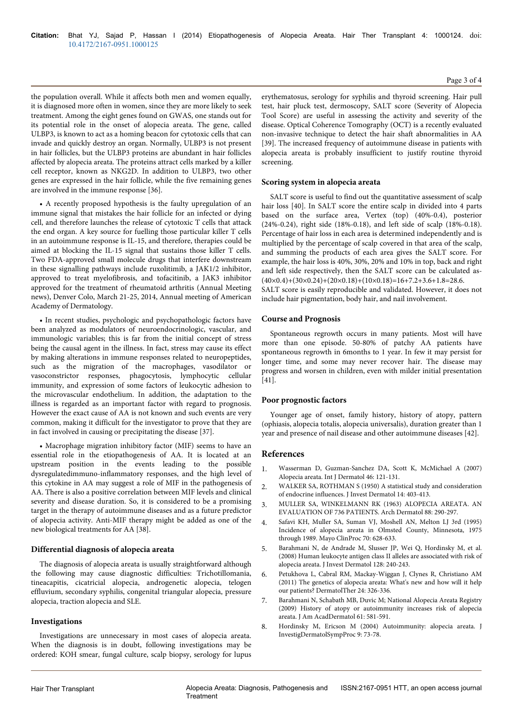the population overall. While it affects both men and women equally, it is diagnosed more often in women, since they are more likely to seek treatment. Among the eight genes found on GWAS, one stands out for its potential role in the onset of alopecia areata. The gene, called ULBP3, is known to act as a homing beacon for cytotoxic cells that can invade and quickly destroy an organ. Normally, ULBP3 is not present in hair follicles, but the ULBP3 proteins are abundant in hair follicles affected by alopecia areata. The proteins attract cells marked by a killer cell receptor, known as NKG2D. In addition to ULBP3, two other genes are expressed in the hair follicle, while the five remaining genes are involved in the immune response [36].

• A recently proposed hypothesis is the faulty upregulation of an immune signal that mistakes the hair follicle for an infected or dying cell, and therefore launches the release of cytotoxic T cells that attack the end organ. A key source for fuelling those particular killer T cells in an autoimmune response is IL-15, and therefore, therapies could be aimed at blocking the IL-15 signal that sustains those killer T cells. Two FDA-approved small molecule drugs that interfere downstream in these signalling pathways include ruxolitimib, a JAK1/2 inhibitor, approved to treat myelofibrosis, and tofacitinib, a JAK3 inhibitor approved for the treatment of rheumatoid arthritis (Annual Meeting news), Denver Colo, March 21-25, 2014, Annual meeting of American Academy of Dermatology.

• In recent studies, psychologic and psychopathologic factors have been analyzed as modulators of neuroendocrinologic, vascular, and immunologic variables; this is far from the initial concept of stress being the causal agent in the illness. In fact, stress may cause its effect by making alterations in immune responses related to neuropeptides, such as the migration of the macrophages, vasodilator or vasoconstrictor responses, phagocytosis, lymphocytic cellular immunity, and expression of some factors of leukocytic adhesion to the microvascular endothelium. In addition, the adaptation to the illness is regarded as an important factor with regard to prognosis. However the exact cause of AA is not known and such events are very common, making it difficult for the investigator to prove that they are in fact involved in causing or precipitating the disease [37].

• Macrophage migration inhibitory factor (MIF) seems to have an essential role in the etiopathogenesis of AA. It is located at an upstream position in the events leading to the possible dysregulatedimmuno-inflammatory responses, and the high level of this cytokine in AA may suggest a role of MIF in the pathogenesis of AA. There is also a positive correlation between MIF levels and clinical severity and disease duration. So, it is considered to be a promising target in the therapy of autoimmune diseases and as a future predictor of alopecia activity. Anti-MIF therapy might be added as one of the new biological treatments for AA [38].

## **Differential diagnosis of alopecia areata**

The diagnosis of alopecia areata is usually straightforward although the following may cause diagnostic difficulties: Trichotillomania, tineacapitis, cicatricial alopecia, androgenetic alopecia, telogen effluvium, secondary syphilis, congenital triangular alopecia, pressure alopecia, traction alopecia and SLE.

#### **Investigations**

Investigations are unnecessary in most cases of alopecia areata. When the diagnosis is in doubt, following investigations may be ordered: KOH smear, fungal culture, scalp biopsy, serology for lupus erythematosus, serology for syphilis and thyroid screening. Hair pull test, hair pluck test, dermoscopy, SALT score (Severity of Alopecia Tool Score) are useful in assessing the activity and severity of the disease. Optical Coherence Tomography (OCT) is a recently evaluated non-invasive technique to detect the hair shaft abnormalities in AA [39]. The increased frequency of autoimmune disease in patients with alopecia areata is probably insufficient to justify routine thyroid screening.

#### **Scoring system in alopecia areata**

SALT score is useful to find out the quantitative assessment of scalp hair loss [40]. In SALT score the entire scalp in divided into 4 parts based on the surface area, Vertex (top) (40%-0.4), posterior (24%-0.24), right side (18%-0.18), and left side of scalp (18%-0.18). Percentage of hair loss in each area is determined independently and is multiplied by the percentage of scalp covered in that area of the scalp, and summing the products of each area gives the SALT score. For example, the hair loss is 40%, 30%, 20% and 10% in top, back and right and left side respectively, then the SALT score can be calculated as-  $(40\times0.4)+(30\times0.24)+(20\times0.18)+(10\times0.18)=16+7.2+3.6+1.8=28.6.$ SALT score is easily reproducible and validated. However, it does not include hair pigmentation, body hair, and nail involvement.

#### **Course and Prognosis**

Spontaneous regrowth occurs in many patients. Most will have more than one episode. 50-80% of patchy AA patients have spontaneous regrowth in 6months to 1 year. In few it may persist for longer time, and some may never recover hair. The disease may progress and worsen in children, even with milder initial presentation [41].

## **Poor prognostic factors**

Younger age of onset, family history, history of atopy, pattern (ophiasis, alopecia totalis, alopecia universalis), duration greater than 1 year and presence of nail disease and other autoimmune diseases [42].

#### **References**

- 1. [Wasserman D, Guzman-Sanchez DA, Scott K, McMichael A \(2007\)](http://www.ncbi.nlm.nih.gov/pubmed/17269961) [Alopecia areata. Int J Dermatol 46: 121-131.](http://www.ncbi.nlm.nih.gov/pubmed/17269961)
- 2. [WALKER SA, ROTHMAN S \(1950\) A statistical study and consideration](http://www.ncbi.nlm.nih.gov/pubmed/15428703) [of endocrine influences. J Invest Dermatol 14: 403-413.](http://www.ncbi.nlm.nih.gov/pubmed/15428703)
- 3. [MULLER SA, WINKELMANN RK \(1963\) ALOPECIA AREATA. AN](http://www.ncbi.nlm.nih.gov/pubmed/14043621) [EVALUATION OF 736 PATIENTS. Arch Dermatol 88: 290-297.](http://www.ncbi.nlm.nih.gov/pubmed/14043621)
- 4. [Safavi KH, Muller SA, Suman VJ, Moshell AN, Melton LJ 3rd \(1995\)](http://www.ncbi.nlm.nih.gov/pubmed/7791384) [Incidence of alopecia areata in Olmsted County, Minnesota, 1975](http://www.ncbi.nlm.nih.gov/pubmed/7791384) [through 1989. Mayo ClinProc 70: 628-633.](http://www.ncbi.nlm.nih.gov/pubmed/7791384)
- 5. [Barahmani N, de Andrade M, Slusser JP, Wei Q, Hordinsky M, et al.](http://www.ncbi.nlm.nih.gov/pubmed/17637820) [\(2008\) Human leukocyte antigen class II alleles are associated with risk of](http://www.ncbi.nlm.nih.gov/pubmed/17637820) [alopecia areata. J Invest Dermatol 128: 240-243.](http://www.ncbi.nlm.nih.gov/pubmed/17637820)
- 6. [Petukhova L, Cabral RM, Mackay-Wiggan J, Clynes R, Christiano AM](http://www.ncbi.nlm.nih.gov/pubmed/21689242) [\(2011\) The genetics of alopecia areata: What's new and how will it help](http://www.ncbi.nlm.nih.gov/pubmed/21689242) [our patients? DermatolTher 24: 326-336.](http://www.ncbi.nlm.nih.gov/pubmed/21689242)
- 7. [Barahmani N, Schabath MB, Duvic M; National Alopecia Areata Registry](http://www.ncbi.nlm.nih.gov/pubmed/19608295) [\(2009\) History of atopy or autoimmunity increases risk of alopecia](http://www.ncbi.nlm.nih.gov/pubmed/19608295) [areata. J Am AcadDermatol 61: 581-591.](http://www.ncbi.nlm.nih.gov/pubmed/19608295)
- 8. [Hordinsky M, Ericson M \(2004\) Autoimmunity: alopecia areata. J](http://www.ncbi.nlm.nih.gov/pubmed/14870990) [InvestigDermatolSympProc 9: 73-78.](http://www.ncbi.nlm.nih.gov/pubmed/14870990)

#### Page 3 of 4